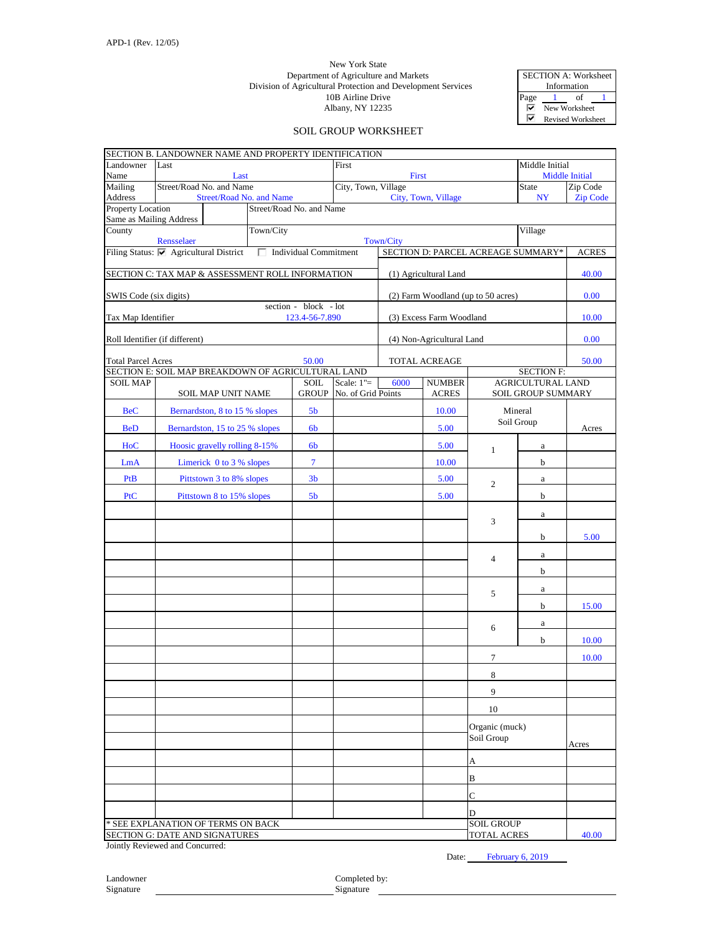## Albany, NY 12235 New York State Department of Agriculture and Markets Division of Agricultural Protection and Development Services 10B Airline Drive

SECTION A: Worksheet Information Page  $\frac{1}{\sqrt{M}}$  of New Worksh New Worksheet  $\overline{\textbf{v}}$ Revised Worksheet

## SOIL GROUP WORKSHEET

| Middle Initial<br>Landowner<br>First<br>Last<br>Name<br><b>Middle Initial</b><br>Last<br>First<br>Street/Road No. and Name<br>Mailing<br>City, Town, Village<br>Zip Code<br><b>State</b><br>Address<br>Street/Road No. and Name<br>City, Town, Village<br>NY<br><b>Zip Code</b><br>Property Location<br>Street/Road No. and Name<br>Same as Mailing Address<br>Town/City<br>County<br>Village<br>Rensselaer<br>Town/City<br>Filing Status: Ø Agricultural District<br>Individual Commitment<br>SECTION D: PARCEL ACREAGE SUMMARY*<br><b>ACRES</b><br>SECTION C: TAX MAP & ASSESSMENT ROLL INFORMATION<br>40.00<br>(1) Agricultural Land<br>0.00<br>SWIS Code (six digits)<br>(2) Farm Woodland (up to 50 acres)<br>section - block - lot<br>Tax Map Identifier<br>(3) Excess Farm Woodland<br>10.00<br>123.4-56-7.890<br>Roll Identifier (if different)<br>(4) Non-Agricultural Land<br>0.00<br><b>Total Parcel Acres</b><br>50.00<br>TOTAL ACREAGE<br>50.00<br>SECTION E: SOIL MAP BREAKDOWN OF AGRICULTURAL LAND<br><b>SECTION F:</b><br>Scale: $1"=$<br>6000<br><b>NUMBER</b><br><b>AGRICULTURAL LAND</b><br><b>SOIL MAP</b><br><b>SOIL</b><br><b>GROUP</b><br>No. of Grid Points<br><b>ACRES</b><br><b>SOIL GROUP SUMMARY</b><br>SOIL MAP UNIT NAME<br>Mineral<br>10.00<br><b>BeC</b><br>Bernardston, 8 to 15 % slopes<br>5 <sub>b</sub><br>Soil Group<br><b>BeD</b><br>Bernardston, 15 to 25 % slopes<br>5.00<br>6 <sub>b</sub><br>Acres<br>HoC<br>Hoosic gravelly rolling 8-15%<br>6 <sub>b</sub><br>5.00<br>a<br>$\mathbf{1}$<br>$\overline{7}$<br>Limerick 0 to 3 % slopes<br>10.00<br>LmA<br>b<br>PtB<br>3 <sub>b</sub><br>5.00<br>Pittstown 3 to 8% slopes<br>$\mathbf{a}$<br>2<br>PtC<br>Pittstown 8 to 15% slopes<br>5 <sub>b</sub><br>5.00<br>b<br>$\rm{a}$<br>3<br>5.00<br>b<br>a<br>$\overline{4}$<br>b<br>a<br>5<br>b<br>15.00<br>a<br>6<br>10.00<br>b<br>7<br>10.00<br>8<br>9<br>10<br>Organic (muck)<br>Soil Group<br>Acres<br>А<br>B<br>$\overline{C}$<br>D<br><b>SOIL GROUP</b><br>* SEE EXPLANATION OF TERMS ON BACK<br>40.00 | SECTION B. LANDOWNER NAME AND PROPERTY IDENTIFICATION |  |  |  |  |  |  |  |  |                    |  |  |
|----------------------------------------------------------------------------------------------------------------------------------------------------------------------------------------------------------------------------------------------------------------------------------------------------------------------------------------------------------------------------------------------------------------------------------------------------------------------------------------------------------------------------------------------------------------------------------------------------------------------------------------------------------------------------------------------------------------------------------------------------------------------------------------------------------------------------------------------------------------------------------------------------------------------------------------------------------------------------------------------------------------------------------------------------------------------------------------------------------------------------------------------------------------------------------------------------------------------------------------------------------------------------------------------------------------------------------------------------------------------------------------------------------------------------------------------------------------------------------------------------------------------------------------------------------------------------------------------------------------------------------------------------------------------------------------------------------------------------------------------------------------------------------------------------------------------------------------------------------------------------------------------------------------------------------------------------------------------------------------------------------------------------------------------------|-------------------------------------------------------|--|--|--|--|--|--|--|--|--------------------|--|--|
|                                                                                                                                                                                                                                                                                                                                                                                                                                                                                                                                                                                                                                                                                                                                                                                                                                                                                                                                                                                                                                                                                                                                                                                                                                                                                                                                                                                                                                                                                                                                                                                                                                                                                                                                                                                                                                                                                                                                                                                                                                                    |                                                       |  |  |  |  |  |  |  |  |                    |  |  |
|                                                                                                                                                                                                                                                                                                                                                                                                                                                                                                                                                                                                                                                                                                                                                                                                                                                                                                                                                                                                                                                                                                                                                                                                                                                                                                                                                                                                                                                                                                                                                                                                                                                                                                                                                                                                                                                                                                                                                                                                                                                    |                                                       |  |  |  |  |  |  |  |  |                    |  |  |
|                                                                                                                                                                                                                                                                                                                                                                                                                                                                                                                                                                                                                                                                                                                                                                                                                                                                                                                                                                                                                                                                                                                                                                                                                                                                                                                                                                                                                                                                                                                                                                                                                                                                                                                                                                                                                                                                                                                                                                                                                                                    |                                                       |  |  |  |  |  |  |  |  |                    |  |  |
|                                                                                                                                                                                                                                                                                                                                                                                                                                                                                                                                                                                                                                                                                                                                                                                                                                                                                                                                                                                                                                                                                                                                                                                                                                                                                                                                                                                                                                                                                                                                                                                                                                                                                                                                                                                                                                                                                                                                                                                                                                                    |                                                       |  |  |  |  |  |  |  |  |                    |  |  |
|                                                                                                                                                                                                                                                                                                                                                                                                                                                                                                                                                                                                                                                                                                                                                                                                                                                                                                                                                                                                                                                                                                                                                                                                                                                                                                                                                                                                                                                                                                                                                                                                                                                                                                                                                                                                                                                                                                                                                                                                                                                    |                                                       |  |  |  |  |  |  |  |  |                    |  |  |
|                                                                                                                                                                                                                                                                                                                                                                                                                                                                                                                                                                                                                                                                                                                                                                                                                                                                                                                                                                                                                                                                                                                                                                                                                                                                                                                                                                                                                                                                                                                                                                                                                                                                                                                                                                                                                                                                                                                                                                                                                                                    |                                                       |  |  |  |  |  |  |  |  |                    |  |  |
|                                                                                                                                                                                                                                                                                                                                                                                                                                                                                                                                                                                                                                                                                                                                                                                                                                                                                                                                                                                                                                                                                                                                                                                                                                                                                                                                                                                                                                                                                                                                                                                                                                                                                                                                                                                                                                                                                                                                                                                                                                                    |                                                       |  |  |  |  |  |  |  |  |                    |  |  |
|                                                                                                                                                                                                                                                                                                                                                                                                                                                                                                                                                                                                                                                                                                                                                                                                                                                                                                                                                                                                                                                                                                                                                                                                                                                                                                                                                                                                                                                                                                                                                                                                                                                                                                                                                                                                                                                                                                                                                                                                                                                    |                                                       |  |  |  |  |  |  |  |  |                    |  |  |
|                                                                                                                                                                                                                                                                                                                                                                                                                                                                                                                                                                                                                                                                                                                                                                                                                                                                                                                                                                                                                                                                                                                                                                                                                                                                                                                                                                                                                                                                                                                                                                                                                                                                                                                                                                                                                                                                                                                                                                                                                                                    |                                                       |  |  |  |  |  |  |  |  |                    |  |  |
|                                                                                                                                                                                                                                                                                                                                                                                                                                                                                                                                                                                                                                                                                                                                                                                                                                                                                                                                                                                                                                                                                                                                                                                                                                                                                                                                                                                                                                                                                                                                                                                                                                                                                                                                                                                                                                                                                                                                                                                                                                                    |                                                       |  |  |  |  |  |  |  |  |                    |  |  |
|                                                                                                                                                                                                                                                                                                                                                                                                                                                                                                                                                                                                                                                                                                                                                                                                                                                                                                                                                                                                                                                                                                                                                                                                                                                                                                                                                                                                                                                                                                                                                                                                                                                                                                                                                                                                                                                                                                                                                                                                                                                    |                                                       |  |  |  |  |  |  |  |  |                    |  |  |
|                                                                                                                                                                                                                                                                                                                                                                                                                                                                                                                                                                                                                                                                                                                                                                                                                                                                                                                                                                                                                                                                                                                                                                                                                                                                                                                                                                                                                                                                                                                                                                                                                                                                                                                                                                                                                                                                                                                                                                                                                                                    |                                                       |  |  |  |  |  |  |  |  |                    |  |  |
|                                                                                                                                                                                                                                                                                                                                                                                                                                                                                                                                                                                                                                                                                                                                                                                                                                                                                                                                                                                                                                                                                                                                                                                                                                                                                                                                                                                                                                                                                                                                                                                                                                                                                                                                                                                                                                                                                                                                                                                                                                                    |                                                       |  |  |  |  |  |  |  |  |                    |  |  |
|                                                                                                                                                                                                                                                                                                                                                                                                                                                                                                                                                                                                                                                                                                                                                                                                                                                                                                                                                                                                                                                                                                                                                                                                                                                                                                                                                                                                                                                                                                                                                                                                                                                                                                                                                                                                                                                                                                                                                                                                                                                    |                                                       |  |  |  |  |  |  |  |  |                    |  |  |
|                                                                                                                                                                                                                                                                                                                                                                                                                                                                                                                                                                                                                                                                                                                                                                                                                                                                                                                                                                                                                                                                                                                                                                                                                                                                                                                                                                                                                                                                                                                                                                                                                                                                                                                                                                                                                                                                                                                                                                                                                                                    |                                                       |  |  |  |  |  |  |  |  |                    |  |  |
|                                                                                                                                                                                                                                                                                                                                                                                                                                                                                                                                                                                                                                                                                                                                                                                                                                                                                                                                                                                                                                                                                                                                                                                                                                                                                                                                                                                                                                                                                                                                                                                                                                                                                                                                                                                                                                                                                                                                                                                                                                                    |                                                       |  |  |  |  |  |  |  |  |                    |  |  |
|                                                                                                                                                                                                                                                                                                                                                                                                                                                                                                                                                                                                                                                                                                                                                                                                                                                                                                                                                                                                                                                                                                                                                                                                                                                                                                                                                                                                                                                                                                                                                                                                                                                                                                                                                                                                                                                                                                                                                                                                                                                    |                                                       |  |  |  |  |  |  |  |  |                    |  |  |
|                                                                                                                                                                                                                                                                                                                                                                                                                                                                                                                                                                                                                                                                                                                                                                                                                                                                                                                                                                                                                                                                                                                                                                                                                                                                                                                                                                                                                                                                                                                                                                                                                                                                                                                                                                                                                                                                                                                                                                                                                                                    |                                                       |  |  |  |  |  |  |  |  |                    |  |  |
|                                                                                                                                                                                                                                                                                                                                                                                                                                                                                                                                                                                                                                                                                                                                                                                                                                                                                                                                                                                                                                                                                                                                                                                                                                                                                                                                                                                                                                                                                                                                                                                                                                                                                                                                                                                                                                                                                                                                                                                                                                                    |                                                       |  |  |  |  |  |  |  |  |                    |  |  |
|                                                                                                                                                                                                                                                                                                                                                                                                                                                                                                                                                                                                                                                                                                                                                                                                                                                                                                                                                                                                                                                                                                                                                                                                                                                                                                                                                                                                                                                                                                                                                                                                                                                                                                                                                                                                                                                                                                                                                                                                                                                    |                                                       |  |  |  |  |  |  |  |  |                    |  |  |
|                                                                                                                                                                                                                                                                                                                                                                                                                                                                                                                                                                                                                                                                                                                                                                                                                                                                                                                                                                                                                                                                                                                                                                                                                                                                                                                                                                                                                                                                                                                                                                                                                                                                                                                                                                                                                                                                                                                                                                                                                                                    |                                                       |  |  |  |  |  |  |  |  |                    |  |  |
|                                                                                                                                                                                                                                                                                                                                                                                                                                                                                                                                                                                                                                                                                                                                                                                                                                                                                                                                                                                                                                                                                                                                                                                                                                                                                                                                                                                                                                                                                                                                                                                                                                                                                                                                                                                                                                                                                                                                                                                                                                                    |                                                       |  |  |  |  |  |  |  |  |                    |  |  |
|                                                                                                                                                                                                                                                                                                                                                                                                                                                                                                                                                                                                                                                                                                                                                                                                                                                                                                                                                                                                                                                                                                                                                                                                                                                                                                                                                                                                                                                                                                                                                                                                                                                                                                                                                                                                                                                                                                                                                                                                                                                    |                                                       |  |  |  |  |  |  |  |  |                    |  |  |
|                                                                                                                                                                                                                                                                                                                                                                                                                                                                                                                                                                                                                                                                                                                                                                                                                                                                                                                                                                                                                                                                                                                                                                                                                                                                                                                                                                                                                                                                                                                                                                                                                                                                                                                                                                                                                                                                                                                                                                                                                                                    |                                                       |  |  |  |  |  |  |  |  |                    |  |  |
|                                                                                                                                                                                                                                                                                                                                                                                                                                                                                                                                                                                                                                                                                                                                                                                                                                                                                                                                                                                                                                                                                                                                                                                                                                                                                                                                                                                                                                                                                                                                                                                                                                                                                                                                                                                                                                                                                                                                                                                                                                                    |                                                       |  |  |  |  |  |  |  |  |                    |  |  |
|                                                                                                                                                                                                                                                                                                                                                                                                                                                                                                                                                                                                                                                                                                                                                                                                                                                                                                                                                                                                                                                                                                                                                                                                                                                                                                                                                                                                                                                                                                                                                                                                                                                                                                                                                                                                                                                                                                                                                                                                                                                    |                                                       |  |  |  |  |  |  |  |  |                    |  |  |
|                                                                                                                                                                                                                                                                                                                                                                                                                                                                                                                                                                                                                                                                                                                                                                                                                                                                                                                                                                                                                                                                                                                                                                                                                                                                                                                                                                                                                                                                                                                                                                                                                                                                                                                                                                                                                                                                                                                                                                                                                                                    |                                                       |  |  |  |  |  |  |  |  |                    |  |  |
|                                                                                                                                                                                                                                                                                                                                                                                                                                                                                                                                                                                                                                                                                                                                                                                                                                                                                                                                                                                                                                                                                                                                                                                                                                                                                                                                                                                                                                                                                                                                                                                                                                                                                                                                                                                                                                                                                                                                                                                                                                                    |                                                       |  |  |  |  |  |  |  |  |                    |  |  |
|                                                                                                                                                                                                                                                                                                                                                                                                                                                                                                                                                                                                                                                                                                                                                                                                                                                                                                                                                                                                                                                                                                                                                                                                                                                                                                                                                                                                                                                                                                                                                                                                                                                                                                                                                                                                                                                                                                                                                                                                                                                    |                                                       |  |  |  |  |  |  |  |  |                    |  |  |
|                                                                                                                                                                                                                                                                                                                                                                                                                                                                                                                                                                                                                                                                                                                                                                                                                                                                                                                                                                                                                                                                                                                                                                                                                                                                                                                                                                                                                                                                                                                                                                                                                                                                                                                                                                                                                                                                                                                                                                                                                                                    |                                                       |  |  |  |  |  |  |  |  |                    |  |  |
|                                                                                                                                                                                                                                                                                                                                                                                                                                                                                                                                                                                                                                                                                                                                                                                                                                                                                                                                                                                                                                                                                                                                                                                                                                                                                                                                                                                                                                                                                                                                                                                                                                                                                                                                                                                                                                                                                                                                                                                                                                                    |                                                       |  |  |  |  |  |  |  |  |                    |  |  |
|                                                                                                                                                                                                                                                                                                                                                                                                                                                                                                                                                                                                                                                                                                                                                                                                                                                                                                                                                                                                                                                                                                                                                                                                                                                                                                                                                                                                                                                                                                                                                                                                                                                                                                                                                                                                                                                                                                                                                                                                                                                    |                                                       |  |  |  |  |  |  |  |  |                    |  |  |
|                                                                                                                                                                                                                                                                                                                                                                                                                                                                                                                                                                                                                                                                                                                                                                                                                                                                                                                                                                                                                                                                                                                                                                                                                                                                                                                                                                                                                                                                                                                                                                                                                                                                                                                                                                                                                                                                                                                                                                                                                                                    |                                                       |  |  |  |  |  |  |  |  |                    |  |  |
|                                                                                                                                                                                                                                                                                                                                                                                                                                                                                                                                                                                                                                                                                                                                                                                                                                                                                                                                                                                                                                                                                                                                                                                                                                                                                                                                                                                                                                                                                                                                                                                                                                                                                                                                                                                                                                                                                                                                                                                                                                                    |                                                       |  |  |  |  |  |  |  |  |                    |  |  |
|                                                                                                                                                                                                                                                                                                                                                                                                                                                                                                                                                                                                                                                                                                                                                                                                                                                                                                                                                                                                                                                                                                                                                                                                                                                                                                                                                                                                                                                                                                                                                                                                                                                                                                                                                                                                                                                                                                                                                                                                                                                    |                                                       |  |  |  |  |  |  |  |  |                    |  |  |
|                                                                                                                                                                                                                                                                                                                                                                                                                                                                                                                                                                                                                                                                                                                                                                                                                                                                                                                                                                                                                                                                                                                                                                                                                                                                                                                                                                                                                                                                                                                                                                                                                                                                                                                                                                                                                                                                                                                                                                                                                                                    |                                                       |  |  |  |  |  |  |  |  |                    |  |  |
|                                                                                                                                                                                                                                                                                                                                                                                                                                                                                                                                                                                                                                                                                                                                                                                                                                                                                                                                                                                                                                                                                                                                                                                                                                                                                                                                                                                                                                                                                                                                                                                                                                                                                                                                                                                                                                                                                                                                                                                                                                                    |                                                       |  |  |  |  |  |  |  |  |                    |  |  |
|                                                                                                                                                                                                                                                                                                                                                                                                                                                                                                                                                                                                                                                                                                                                                                                                                                                                                                                                                                                                                                                                                                                                                                                                                                                                                                                                                                                                                                                                                                                                                                                                                                                                                                                                                                                                                                                                                                                                                                                                                                                    |                                                       |  |  |  |  |  |  |  |  |                    |  |  |
|                                                                                                                                                                                                                                                                                                                                                                                                                                                                                                                                                                                                                                                                                                                                                                                                                                                                                                                                                                                                                                                                                                                                                                                                                                                                                                                                                                                                                                                                                                                                                                                                                                                                                                                                                                                                                                                                                                                                                                                                                                                    | SECTION G: DATE AND SIGNATURES                        |  |  |  |  |  |  |  |  | <b>TOTAL ACRES</b> |  |  |

Jointly Reviewed and Concurred:

Date: February 6, 2019

Landowner Completed by: Signature Signature Signature